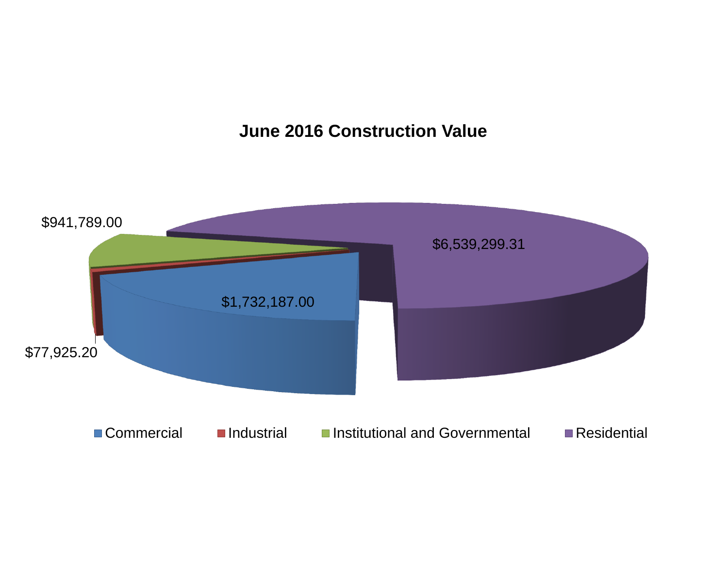# **June 2016 Construction Value**

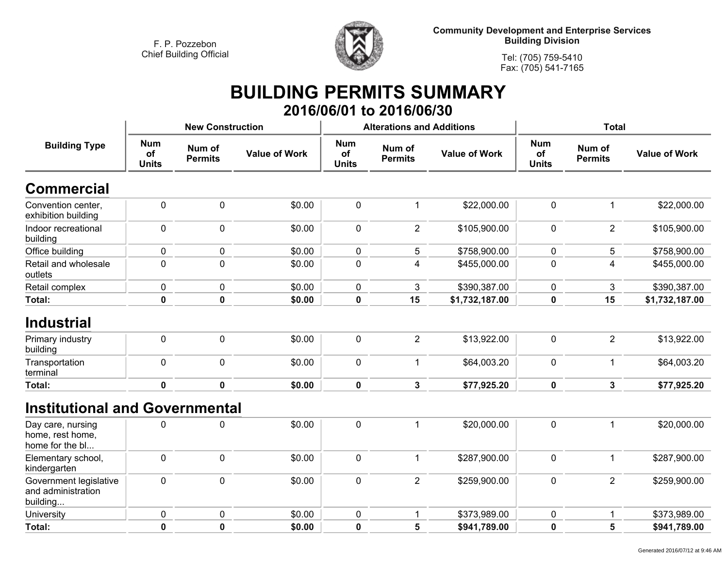

**Community Development and Enterprise Services Building Division**

**Tel: (705) 759-5410Fax: (705) 541-7165**

### **BUILDING PERMITS SUMMARY 2016/06/01 to 2016/06/30**

| <b>Num</b><br><b>Building Type</b><br>Num of<br>of<br><b>Permits</b><br><b>Units</b> | <b>Value of Work</b> | <b>Num</b><br>of | Num of         |                      | <b>Num</b>         |                          |                      |
|--------------------------------------------------------------------------------------|----------------------|------------------|----------------|----------------------|--------------------|--------------------------|----------------------|
|                                                                                      |                      | <b>Units</b>     | <b>Permits</b> | <b>Value of Work</b> | of<br><b>Units</b> | Num of<br><b>Permits</b> | <b>Value of Work</b> |
| <b>Commercial</b>                                                                    |                      |                  |                |                      |                    |                          |                      |
| 0<br>$\mathbf 0$<br>Convention center,<br>exhibition building                        | \$0.00               | $\mathbf 0$      | $\mathbf 1$    | \$22,000.00          | $\pmb{0}$          | $\mathbf{1}$             | \$22,000.00          |
| Indoor recreational<br>0<br>$\mathbf 0$<br>building                                  | \$0.00               | $\mathbf 0$      | $\overline{2}$ | \$105,900.00         | $\mathbf 0$        | $\overline{2}$           | \$105,900.00         |
| 0<br>Office building<br>$\mathbf 0$                                                  | \$0.00               | $\mathbf 0$      | 5              | \$758,900.00         | $\mathbf 0$        | 5                        | \$758,900.00         |
| $\mathbf 0$<br>$\pmb{0}$<br>Retail and wholesale<br>outlets                          | \$0.00               | $\pmb{0}$        | 4              | \$455,000.00         | $\pmb{0}$          | $\overline{\mathbf{4}}$  | \$455,000.00         |
| 0<br>Retail complex<br>$\mathbf 0$                                                   | \$0.00               | $\mathbf 0$      | 3              | \$390,387.00         | $\mathbf 0$        | 3                        | \$390,387.00         |
| Total:<br>$\mathbf 0$<br>$\mathbf 0$                                                 | \$0.00               | $\mathbf 0$      | 15             | \$1,732,187.00       | $\mathbf 0$        | 15                       | \$1,732,187.00       |
| <b>Industrial</b><br>0<br>$\mathbf 0$<br>Primary industry<br>building                | \$0.00               | $\pmb{0}$        | $\overline{2}$ | \$13,922.00          | $\pmb{0}$          | $\overline{2}$           | \$13,922.00          |
| Transportation<br>0<br>$\mathbf 0$<br>terminal                                       | \$0.00               | $\mathbf 0$      | $\mathbf{1}$   | \$64,003.20          | $\mathbf 0$        | $\mathbf{1}$             | \$64,003.20          |
| <b>Total:</b><br>$\mathbf 0$<br>$\mathbf 0$                                          | \$0.00               | $\mathbf 0$      | $\mathbf{3}$   | \$77,925.20          | $\mathbf 0$        | 3                        | \$77,925.20          |
| <b>Institutional and Governmental</b>                                                |                      |                  |                |                      |                    |                          |                      |
| 0<br>$\mathbf 0$<br>Day care, nursing<br>home, rest home,<br>home for the bl         | \$0.00               | $\mathbf 0$      | $\mathbf 1$    | \$20,000.00          | $\mathbf 0$        | $\mathbf{1}$             | \$20,000.00          |
| 0<br>$\mathbf 0$<br>Elementary school,<br>kindergarten                               | \$0.00               | $\mathbf 0$      | $\mathbf{1}$   | \$287,900.00         | $\pmb{0}$          | $\mathbf{1}$             | \$287,900.00         |
| $\mathbf 0$<br>Government legislative<br>0<br>and administration<br>building         | \$0.00               | $\mathbf 0$      | $\overline{2}$ | \$259,900.00         | $\mathbf 0$        | $\overline{2}$           | \$259,900.00         |
| 0<br>$\pmb{0}$<br>University                                                         | \$0.00               | $\mathbf 0$      | $\mathbf{1}$   | \$373,989.00         | $\pmb{0}$          | $\mathbf{1}$             | \$373,989.00         |
| $\mathbf 0$<br><b>Total:</b><br>0                                                    | \$0.00               | $\mathbf 0$      | 5              | \$941,789.00         | $\mathbf 0$        | 5                        | \$941,789.00         |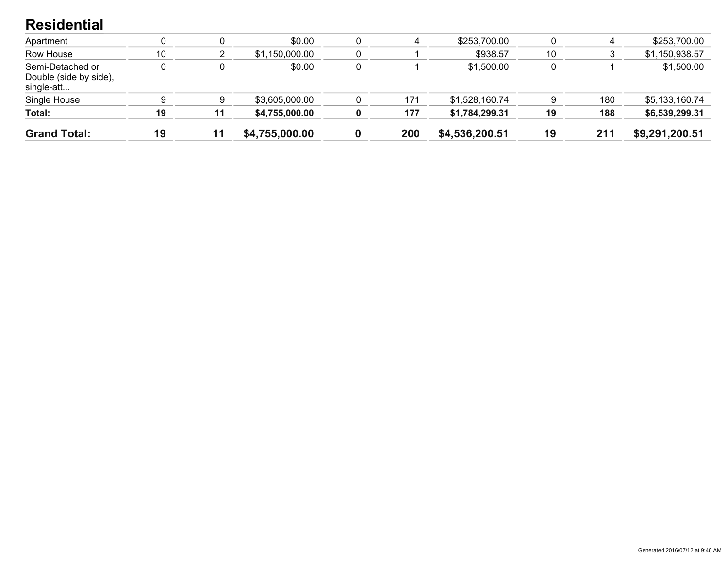#### **Residential**

| <b>Grand Total:</b>                                      | 19 | 11 | \$4,755,000.00 | 0 | 200 | \$4,536,200.51 | 19 | 211 | \$9,291,200.51 |
|----------------------------------------------------------|----|----|----------------|---|-----|----------------|----|-----|----------------|
| Total:                                                   | 19 | 11 | \$4,755,000.00 | 0 | 177 | \$1,784,299.31 | 19 | 188 | \$6,539,299.31 |
| Single House                                             |    |    | \$3,605,000.00 |   | 171 | \$1,528,160.74 |    | 180 | \$5,133,160.74 |
| Semi-Detached or<br>Double (side by side),<br>single-att |    |    | \$0.00         |   |     | \$1,500.00     |    |     | \$1,500.00     |
| Row House                                                | 10 |    | \$1,150,000.00 |   |     | \$938.57       | 10 |     | \$1,150,938.57 |
| Apartment                                                |    |    | \$0.00         |   | 4   | \$253,700.00   |    |     | \$253,700.00   |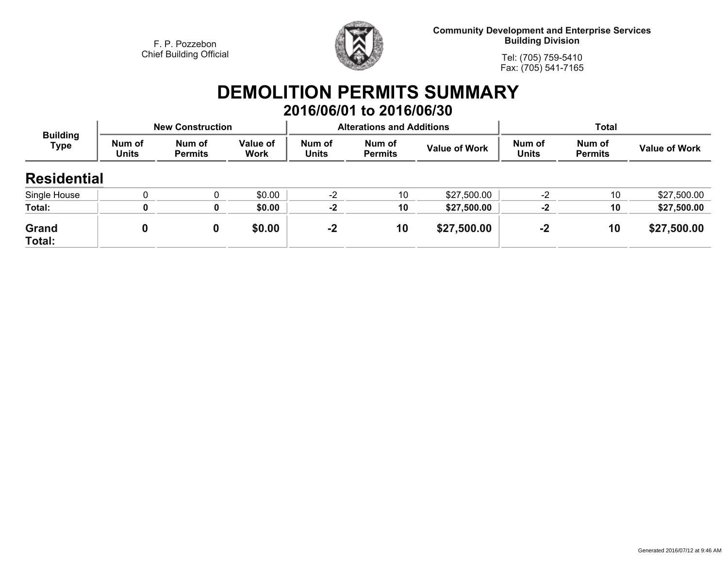

**Community Development and Enterprise Services Building Division**

**Tel: (705) 759-5410Fax: (705) 541-7165**

# **DEMOLITION PERMITS SUMMARY 2016/06/01 to 2016/06/30**

| <b>Building</b><br>Type |                        | <b>New Construction</b>  |                                |                        | <b>Alterations and Additions</b> |                      | <b>Total</b>           |                          |                      |
|-------------------------|------------------------|--------------------------|--------------------------------|------------------------|----------------------------------|----------------------|------------------------|--------------------------|----------------------|
|                         | Num of<br><b>Units</b> | Num of<br><b>Permits</b> | <b>Value of</b><br><b>Work</b> | Num of<br><b>Units</b> | Num of<br><b>Permits</b>         | <b>Value of Work</b> | Num of<br><b>Units</b> | Num of<br><b>Permits</b> | <b>Value of Work</b> |
| <b>Residential</b>      |                        |                          |                                |                        |                                  |                      |                        |                          |                      |
| Single House            |                        |                          | \$0.00                         | $-2$                   | 10                               | \$27,500.00          | $-2$                   | 10                       | \$27,500.00          |
| Total:                  |                        | 0                        | \$0.00                         | $-2$                   | 10                               | \$27,500.00          | $-2$                   | 10                       | \$27,500.00          |
| Grand<br>Total:         | 0                      | 0                        | \$0.00                         | $-2$                   | 10                               | \$27,500.00          | $-2$                   | 10                       | \$27,500.00          |